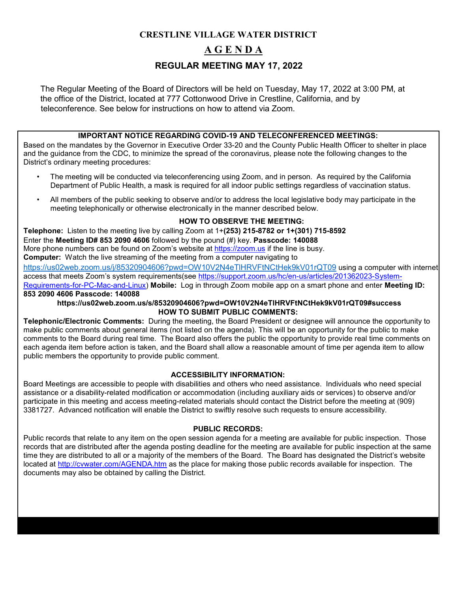# **CRESTLINE VILLAGE WATER DISTRICT A G E N D A REGULAR MEETING MAY 17, 2022**

The Regular Meeting of the Board of Directors will be held on Tuesday, May 17, 2022 at 3:00 PM, at the office of the District, located at 777 Cottonwood Drive in Crestline, California, and by teleconference. See below for instructions on how to attend via Zoom.

#### **IMPORTANT NOTICE REGARDING COVID-19 AND TELECONFERENCED MEETINGS:**

Based on the mandates by the Governor in Executive Order 33-20 and the County Public Health Officer to shelter in place and the guidance from the CDC, to minimize the spread of the coronavirus, please note the following changes to the District's ordinary meeting procedures:

- The meeting will be conducted via teleconferencing using Zoom, and in person. As required by the California Department of Public Health, a mask is required for all indoor public settings regardless of vaccination status.
- All members of the public seeking to observe and/or to address the local legislative body may participate in the meeting telephonically or otherwise electronically in the manner described below.

### **HOW TO OBSERVE THE MEETING:**

**Telephone:** Listen to the meeting live by calling Zoom at 1+**(253) 215-8782 or 1+(301) 715-8592**  Enter the **Meeting ID# 853 2090 4606** followed by the pound (#) key. **Passcode: 140088** More phone numbers can be found on Zoom's website at [https://zoom.us](https://zoom.us/) [if](https://zoom.us/) the line is busy. **Computer:** Watch the live streaming of the meeting from a computer navigating to <https://us02web.zoom.us/j/85320904606?pwd=OW10V2N4eTlHRVFtNCtHek9kV01rQT09> using a computer with internet access that meets Zoom's system requirements(see [https://support.zoom.us/hc/en-us/articles/201362023-System-](https://support.zoom.us/hc/en-us/articles/201362023-System-Requirements-for-PC-Mac-and-Linux)[Requirements-for-PC-Mac-and-Linux\)](https://support.zoom.us/hc/en-us/articles/201362023-System-Requirements-for-PC-Mac-and-Linux) **Mobile:** Log in through Zoom mobile app on a smart phone and enter **Meeting ID: 853 2090 4606 Passcode: 140088**

#### **https://us02web.zoom.us/s/85320904606?pwd=OW10V2N4eTlHRVFtNCtHek9kV01rQT09#success HOW TO SUBMIT PUBLIC COMMENTS:**

**Telephonic/Electronic Comments:** During the meeting, the Board President or designee will announce the opportunity to make public comments about general items (not listed on the agenda). This will be an opportunity for the public to make comments to the Board during real time. The Board also offers the public the opportunity to provide real time comments on each agenda item before action is taken, and the Board shall allow a reasonable amount of time per agenda item to allow public members the opportunity to provide public comment.

#### **ACCESSIBILITY INFORMATION:**

Board Meetings are accessible to people with disabilities and others who need assistance. Individuals who need special assistance or a disability-related modification or accommodation (including auxiliary aids or services) to observe and/or participate in this meeting and access meeting-related materials should contact the District before the meeting at (909) 3381727. Advanced notification will enable the District to swiftly resolve such requests to ensure accessibility.

#### **PUBLIC RECORDS:**

Public records that relate to any item on the open session agenda for a meeting are available for public inspection. Those records that are distributed after the agenda posting deadline for the meeting are available for public inspection at the same time they are distributed to all or a majority of the members of the Board. The Board has designated the District's website located at<http://cvwater.com/AGENDA.htm> [a](http://cvwater.com/AGENDA.htm)s the place for making those public records available for inspection. The documents may also be obtained by calling the District.